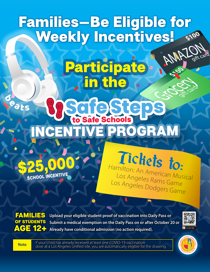## **\$100** Families-Be Eligible for Weekly Incentives!

Participate

n the

## eats **Safe Steps** to Safe Schools EIPROGRAM



Tickets to: Hamilton: An American Musical Los Angeles Rams Game Los Angeles Dodgers Game

FAMILIES OF STUDENTS AGE 12+

**Upload your eligible student proof of vaccination into Daily Pass or Submit a medical exemption on the Daily Pass on or after October 20 or Already have conditional admission (no action required).**



At card

**5100** 

**Note** If your child has already received at least one COVID-19 vaccination<br>Note Indose at a Los Angeles Unified site, you are automatically eligible for the drawing.